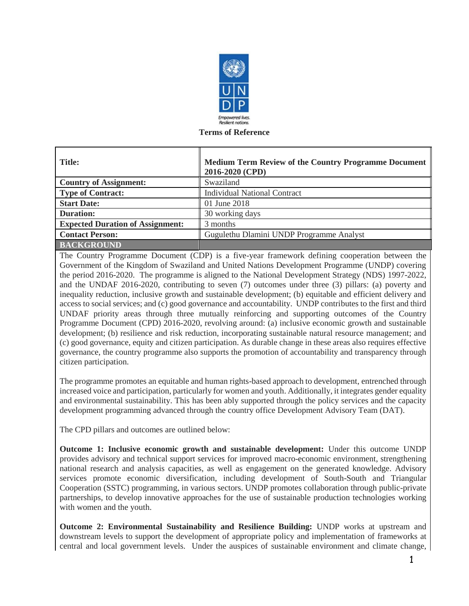

#### **Terms of Reference**

| <b>Title:</b>                           | Medium Term Review of the Country Programme Document<br>2016-2020 (CPD) |
|-----------------------------------------|-------------------------------------------------------------------------|
| <b>Country of Assignment:</b>           | Swaziland                                                               |
| <b>Type of Contract:</b>                | <b>Individual National Contract</b>                                     |
| <b>Start Date:</b>                      | 01 June 2018                                                            |
| <b>Duration:</b>                        | 30 working days                                                         |
| <b>Expected Duration of Assignment:</b> | 3 months                                                                |
| <b>Contact Person:</b>                  | Gugulethu Dlamini UNDP Programme Analyst                                |
| <b>BACKGROUND</b>                       |                                                                         |

The Country Programme Document (CDP) is a five-year framework defining cooperation between the Government of the Kingdom of Swaziland and United Nations Development Programme (UNDP) covering the period 2016-2020. The programme is aligned to the National Development Strategy (NDS) 1997-2022, and the UNDAF 2016-2020, contributing to seven (7) outcomes under three (3) pillars: (a) poverty and inequality reduction, inclusive growth and sustainable development; (b) equitable and efficient delivery and access to social services; and (c) good governance and accountability. UNDP contributes to the first and third UNDAF priority areas through three mutually reinforcing and supporting outcomes of the Country Programme Document (CPD) 2016-2020, revolving around: (a) inclusive economic growth and sustainable development; (b) resilience and risk reduction, incorporating sustainable natural resource management; and (c) good governance, equity and citizen participation. As durable change in these areas also requires effective governance, the country programme also supports the promotion of accountability and transparency through citizen participation.

The programme promotes an equitable and human rights-based approach to development, entrenched through increased voice and participation, particularly for women and youth. Additionally, it integrates gender equality and environmental sustainability. This has been ably supported through the policy services and the capacity development programming advanced through the country office Development Advisory Team (DAT).

The CPD pillars and outcomes are outlined below:

**Outcome 1: Inclusive economic growth and sustainable development:** Under this outcome UNDP provides advisory and technical support services for improved macro-economic environment, strengthening national research and analysis capacities, as well as engagement on the generated knowledge. Advisory services promote economic diversification, including development of South-South and Triangular Cooperation (SSTC) programming, in various sectors. UNDP promotes collaboration through public-private partnerships, to develop innovative approaches for the use of sustainable production technologies working with women and the youth.

**Outcome 2: Environmental Sustainability and Resilience Building:** UNDP works at upstream and downstream levels to support the development of appropriate policy and implementation of frameworks at central and local government levels. Under the auspices of sustainable environment and climate change,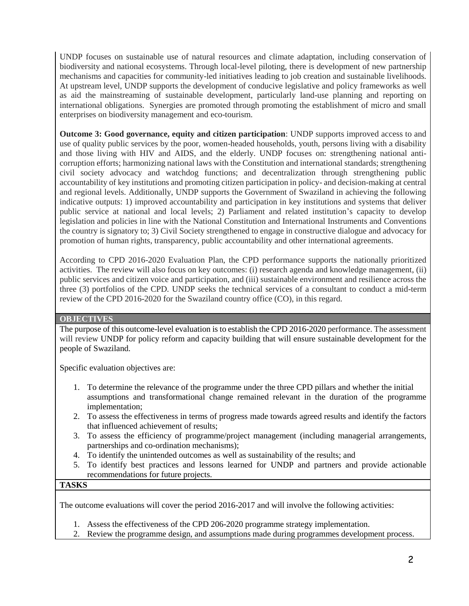UNDP focuses on sustainable use of natural resources and climate adaptation, including conservation of biodiversity and national ecosystems. Through local-level piloting, there is development of new partnership mechanisms and capacities for community-led initiatives leading to job creation and sustainable livelihoods. At upstream level, UNDP supports the development of conducive legislative and policy frameworks as well as aid the mainstreaming of sustainable development, particularly land-use planning and reporting on international obligations. Synergies are promoted through promoting the establishment of micro and small enterprises on biodiversity management and eco-tourism.

**Outcome 3: Good governance, equity and citizen participation**: UNDP supports improved access to and use of quality public services by the poor, women-headed households, youth, persons living with a disability and those living with HIV and AIDS, and the elderly. UNDP focuses on: strengthening national anticorruption efforts; harmonizing national laws with the Constitution and international standards; strengthening civil society advocacy and watchdog functions; and decentralization through strengthening public accountability of key institutions and promoting citizen participation in policy- and decision-making at central and regional levels. Additionally, UNDP supports the Government of Swaziland in achieving the following indicative outputs: 1) improved accountability and participation in key institutions and systems that deliver public service at national and local levels; 2) Parliament and related institution's capacity to develop legislation and policies in line with the National Constitution and International Instruments and Conventions the country is signatory to; 3) Civil Society strengthened to engage in constructive dialogue and advocacy for promotion of human rights, transparency, public accountability and other international agreements.

According to CPD 2016-2020 Evaluation Plan, the CPD performance supports the nationally prioritized activities. The review will also focus on key outcomes: (i) research agenda and knowledge management, (ii) public services and citizen voice and participation, and (iii) sustainable environment and resilience across the three (3) portfolios of the CPD. UNDP seeks the technical services of a consultant to conduct a mid-term review of the CPD 2016-2020 for the Swaziland country office (CO), in this regard.

#### **OBJECTIVES**

The purpose of this outcome-level evaluation is to establish the CPD 2016-2020 performance. The assessment will review UNDP for policy reform and capacity building that will ensure sustainable development for the people of Swaziland.

Specific evaluation objectives are:

- 1. To determine the relevance of the programme under the three CPD pillars and whether the initial assumptions and transformational change remained relevant in the duration of the programme implementation;
- 2. To assess the effectiveness in terms of progress made towards agreed results and identify the factors that influenced achievement of results;
- 3. To assess the efficiency of programme/project management (including managerial arrangements, partnerships and co-ordination mechanisms);
- 4. To identify the unintended outcomes as well as sustainability of the results; and
- 5. To identify best practices and lessons learned for UNDP and partners and provide actionable recommendations for future projects.

#### **TASKS**

The outcome evaluations will cover the period 2016-2017 and will involve the following activities:

- 1. Assess the effectiveness of the CPD 206-2020 programme strategy implementation.
- 2. Review the programme design, and assumptions made during programmes development process.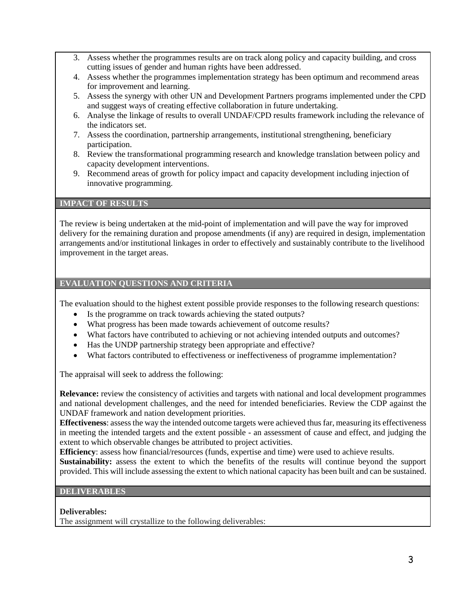- 3. Assess whether the programmes results are on track along policy and capacity building, and cross cutting issues of gender and human rights have been addressed.
- 4. Assess whether the programmes implementation strategy has been optimum and recommend areas for improvement and learning.
- 5. Assess the synergy with other UN and Development Partners programs implemented under the CPD and suggest ways of creating effective collaboration in future undertaking.
- 6. Analyse the linkage of results to overall UNDAF/CPD results framework including the relevance of the indicators set.
- 7. Assess the coordination, partnership arrangements, institutional strengthening, beneficiary participation.
- 8. Review the transformational programming research and knowledge translation between policy and capacity development interventions.
- 9. Recommend areas of growth for policy impact and capacity development including injection of innovative programming.

## **IMPACT OF RESULTS**

The review is being undertaken at the mid-point of implementation and will pave the way for improved delivery for the remaining duration and propose amendments (if any) are required in design, implementation arrangements and/or institutional linkages in order to effectively and sustainably contribute to the livelihood improvement in the target areas.

### **EVALUATION QUESTIONS AND CRITERIA**

The evaluation should to the highest extent possible provide responses to the following research questions:

- Is the programme on track towards achieving the stated outputs?
- What progress has been made towards achievement of outcome results?
- What factors have contributed to achieving or not achieving intended outputs and outcomes?
- Has the UNDP partnership strategy been appropriate and effective?
- What factors contributed to effectiveness or ineffectiveness of programme implementation?

The appraisal will seek to address the following:

**Relevance:** review the consistency of activities and targets with national and local development programmes and national development challenges, and the need for intended beneficiaries. Review the CDP against the UNDAF framework and nation development priorities.

**Effectiveness**: assess the way the intended outcome targets were achieved thus far, measuring its effectiveness in meeting the intended targets and the extent possible - an assessment of cause and effect, and judging the extent to which observable changes be attributed to project activities.

**Efficiency**: assess how financial/resources (funds, expertise and time) were used to achieve results.

**Sustainability:** assess the extent to which the benefits of the results will continue beyond the support provided. This will include assessing the extent to which national capacity has been built and can be sustained.

### **DELIVERABLES**

**Deliverables:**

The assignment will crystallize to the following deliverables: